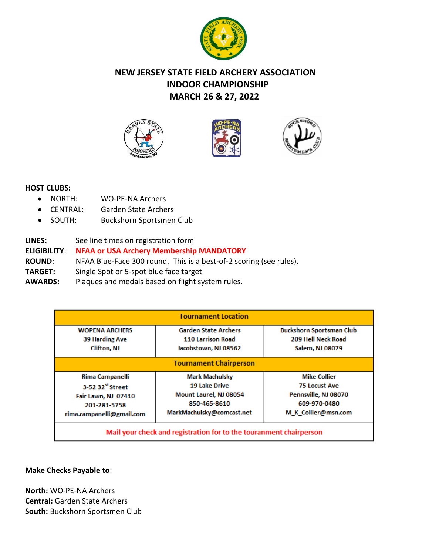

# **NEW JERSEY STATE FIELD ARCHERY ASSOCIATION INDOOR CHAMPIONSHIP MARCH 26 & 27, 2022**







## **HOST CLUBS:**

- NORTH: WO-PE-NA Archers
- CENTRAL: Garden State Archers
- SOUTH: Buckshorn Sportsmen Club
- **LINES:** See line times on registration form

# **ELIGIBILITY**: **NFAA or USA Archery Membership MANDATORY**

**ROUND**: NFAA Blue-Face 300 round. This is a best-of-2 scoring (see rules).

- **TARGET:** Single Spot or 5-spot blue face target
- **AWARDS:** Plaques and medals based on flight system rules.

| <b>Tournament Location</b>                                         |                                                         |                                                       |  |  |  |  |
|--------------------------------------------------------------------|---------------------------------------------------------|-------------------------------------------------------|--|--|--|--|
| <b>WOPENA ARCHERS</b><br><b>39 Harding Ave</b>                     | <b>Garden State Archers</b><br><b>110 Larrison Road</b> | <b>Buckshorn Sportsman Club</b><br>209 Hell Neck Road |  |  |  |  |
| Clifton, NJ                                                        | Jacobstown, NJ 08562                                    | <b>Salem, NJ 08079</b>                                |  |  |  |  |
| <b>Tournament Chairperson</b>                                      |                                                         |                                                       |  |  |  |  |
| Rima Campanelli                                                    | <b>Mark Machulsky</b>                                   | <b>Mike Collier</b>                                   |  |  |  |  |
| 3-52 32 <sup>st</sup> Street                                       | <b>19 Lake Drive</b>                                    | <b>75 Locust Ave</b>                                  |  |  |  |  |
| Fair Lawn, NJ 07410                                                | Mount Laurel, NJ 08054                                  | Pennsville, NJ 08070                                  |  |  |  |  |
| 201-281-5758                                                       | 850-465-8610                                            | 609-970-0480                                          |  |  |  |  |
| rima.campanelli@gmail.com                                          | MarkMachulsky@comcast.net                               | M K Collier@msn.com                                   |  |  |  |  |
| Mail your check and registration for to the touranment chairperson |                                                         |                                                       |  |  |  |  |

## **Make Checks Payable to**:

**North:** WO-PE-NA Archers **Central:** Garden State Archers **South:** Buckshorn Sportsmen Club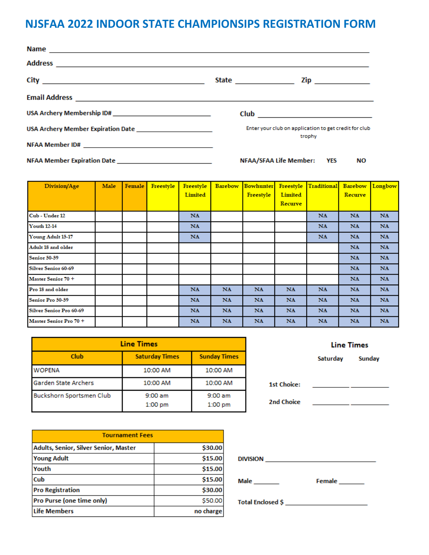# **NJSFAA 2022 INDOOR STATE CHAMPIONSIPS REGISTRATION FORM**

| USA Archery Membership ID# __________________________________ | Club 2008 2009 2012 2022 2023 2024 2025 2026 2027 2028 2029 2020 2021 2022 2023 2021 2022 2023 2024 2022 2023 |
|---------------------------------------------------------------|---------------------------------------------------------------------------------------------------------------|
|                                                               | Enter your club on application to get credit for club<br>trophy                                               |
|                                                               |                                                                                                               |
| NFAA Member Expiration Date _____________________________     | NFAA/SFAA Life Member: YES<br>ΝO                                                                              |

| Division/Age                   | Male | Female | Freestyle | Freestyle<br>Limited | <b>Barebow</b> | <b>Bowhunter</b><br>Freestyle | Freestyle<br>Limited | Traditional | <b>Barebow</b><br>Recurve | Longbow   |
|--------------------------------|------|--------|-----------|----------------------|----------------|-------------------------------|----------------------|-------------|---------------------------|-----------|
|                                |      |        |           |                      |                |                               | Recurve              |             |                           |           |
| Cub - Under 12                 |      |        |           | <b>NA</b>            |                |                               |                      | <b>NA</b>   | <b>NA</b>                 | <b>NA</b> |
| <b>Youth 12-14</b>             |      |        |           | <b>NA</b>            |                |                               |                      | <b>NA</b>   | <b>NA</b>                 | <b>NA</b> |
| Young Adult 15-17              |      |        |           | <b>NA</b>            |                |                               |                      | <b>NA</b>   | <b>NA</b>                 | NA.       |
| Adult 18 and older             |      |        |           |                      |                |                               |                      |             | <b>NA</b>                 | NA.       |
| <b>Senior 50-59</b>            |      |        |           |                      |                |                               |                      |             | <b>NA</b>                 | <b>NA</b> |
| <b>Silver Senior 60-69</b>     |      |        |           |                      |                |                               |                      |             | <b>NA</b>                 | <b>NA</b> |
| Master Senior 70 +             |      |        |           |                      |                |                               |                      |             | <b>NA</b>                 | NA.       |
| Pro 18 and older               |      |        |           | <b>NA</b>            | <b>NA</b>      | <b>NA</b>                     | <b>NA</b>            | <b>NA</b>   | <b>NA</b>                 | NA.       |
| Senior Pro 50-59               |      |        |           | <b>NA</b>            | <b>NA</b>      | <b>NA</b>                     | <b>NA</b>            | <b>NA</b>   | <b>NA</b>                 | <b>NA</b> |
| <b>Silver Senior Pro 60-69</b> |      |        |           | <b>NA</b>            | <b>NA</b>      | <b>NA</b>                     | <b>NA</b>            | <b>NA</b>   | <b>NA</b>                 | <b>NA</b> |
| Master Senior Pro 70 +         |      |        |           | NA.                  | <b>NA</b>      | <b>NA</b>                     | <b>NA</b>            | <b>NA</b>   | <b>NA</b>                 | <b>NA</b> |

| <b>Line Times</b>           |                       |                      |  |  |
|-----------------------------|-----------------------|----------------------|--|--|
| Club                        | <b>Saturday Times</b> | <b>Sunday Times</b>  |  |  |
| <b>WOPENA</b>               | 10:00 AM              | 10:00 AM             |  |  |
| <b>Garden State Archers</b> | 10:00 AM              | 10:00 AM             |  |  |
| Buckshorn Sportsmen Club    | 9:00 am<br>$1:00$ pm  | 9:00 am<br>$1:00$ pm |  |  |

| <b>Tournament Fees</b>                |           |  |  |  |
|---------------------------------------|-----------|--|--|--|
| Adults, Senior, Silver Senior, Master | \$30.00   |  |  |  |
| <b>Young Adult</b>                    | \$15.00   |  |  |  |
| Youth                                 | \$15.00   |  |  |  |
| <b>Cub</b>                            | \$15.00   |  |  |  |
| <b>Pro Registration</b>               | \$30.00   |  |  |  |
| Pro Purse (one time only)             | \$50.00   |  |  |  |
| Life Members                          | no charge |  |  |  |

|    |                                                                                                                                                                                                                                          | <b>Line Times</b>                            |  |  |
|----|------------------------------------------------------------------------------------------------------------------------------------------------------------------------------------------------------------------------------------------|----------------------------------------------|--|--|
| s. |                                                                                                                                                                                                                                          | Saturday Sunday                              |  |  |
|    |                                                                                                                                                                                                                                          |                                              |  |  |
|    | 1st Choice:                                                                                                                                                                                                                              | <u> 1980 - Andrea Andrew Maria (b. 1980)</u> |  |  |
|    | 2nd Choice                                                                                                                                                                                                                               |                                              |  |  |
|    |                                                                                                                                                                                                                                          |                                              |  |  |
|    |                                                                                                                                                                                                                                          |                                              |  |  |
|    |                                                                                                                                                                                                                                          |                                              |  |  |
|    | <b>DIVISION <i>CONTRACTE CONTRACTE CONTRACTE CONTRACTE CONTRACTE CONTRACTE CONTRACTE CONTRACTE CONTRACTE CONTRACTE CONTRACTE CONTRACTE CONTRACTE CONTRACTE CONTRACTE CONTRACTE CONTRACTE CONTRACTE CONTRACTE CONTRACTE CONTRACTE</i></b> |                                              |  |  |
|    | Male $\_\_$                                                                                                                                                                                                                              | Female _______                               |  |  |
|    |                                                                                                                                                                                                                                          |                                              |  |  |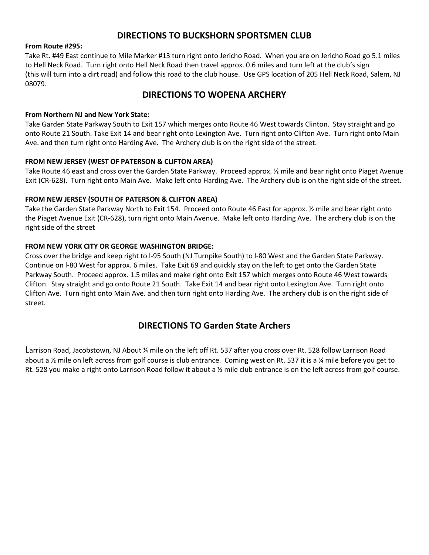### **DIRECTIONS TO BUCKSHORN SPORTSMEN CLUB**

### **From Route #295:**

Take Rt. #49 East continue to Mile Marker #13 turn right onto Jericho Road. When you are on Jericho Road go 5.1 miles to Hell Neck Road. Turn right onto Hell Neck Road then travel approx. 0.6 miles and turn left at the club's sign (this will turn into a dirt road) and follow this road to the club house. Use GPS location of 205 Hell Neck Road, Salem, NJ 08079.

### **DIRECTIONS TO WOPENA ARCHERY**

### **From Northern NJ and New York State:**

Take Garden State Parkway South to Exit 157 which merges onto Route 46 West towards Clinton. Stay straight and go onto Route 21 South. Take Exit 14 and bear right onto Lexington Ave. Turn right onto Clifton Ave. Turn right onto Main Ave. and then turn right onto Harding Ave. The Archery club is on the right side of the street.

#### **FROM NEW JERSEY (WEST OF PATERSON & CLIFTON AREA)**

Take Route 46 east and cross over the Garden State Parkway. Proceed approx. ½ mile and bear right onto Piaget Avenue Exit (CR-628). Turn right onto Main Ave. Make left onto Harding Ave. The Archery club is on the right side of the street.

#### **FROM NEW JERSEY (SOUTH OF PATERSON & CLIFTON AREA)**

Take the Garden State Parkway North to Exit 154. Proceed onto Route 46 East for approx. ½ mile and bear right onto the Piaget Avenue Exit (CR-628), turn right onto Main Avenue. Make left onto Harding Ave. The archery club is on the right side of the street

### **FROM NEW YORK CITY OR GEORGE WASHINGTON BRIDGE:**

Cross over the bridge and keep right to l-95 South (NJ Turnpike South) to l-80 West and the Garden State Parkway. Continue on l-80 West for approx. 6 miles. Take Exit 69 and quickly stay on the left to get onto the Garden State Parkway South. Proceed approx. 1.5 miles and make right onto Exit 157 which merges onto Route 46 West towards Clifton. Stay straight and go onto Route 21 South. Take Exit 14 and bear right onto Lexington Ave. Turn right onto Clifton Ave. Turn right onto Main Ave. and then turn right onto Harding Ave. The archery club is on the right side of street.

### **DIRECTIONS TO Garden State Archers**

Larrison Road, Jacobstown, NJ About ¼ mile on the left off Rt. 537 after you cross over Rt. 528 follow Larrison Road about a ½ mile on left across from golf course is club entrance. Coming west on Rt. 537 it is a ¼ mile before you get to Rt. 528 you make a right onto Larrison Road follow it about a ½ mile club entrance is on the left across from golf course.